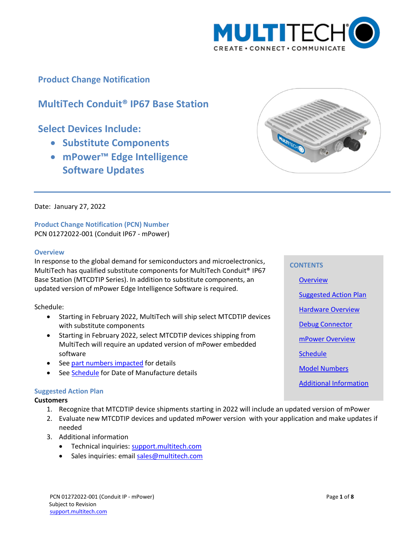

**Product Change Notification**

# **MultiTech Conduit® IP67 Base Station**

## **Select Devices Include:**

- **Substitute Components**
- **mPower™ Edge Intelligence Software Updates**



Date: January 27, 2022

**Product Change Notification (PCN) Number**  PCN 01272022-001 (Conduit IP67 - mPower)

#### <span id="page-0-0"></span>**Overview**

In response to the global demand for semiconductors and microelectronics, MultiTech has qualified substitute components for MultiTech Conduit® IP67 Base Station (MTCDTIP Series). In addition to substitute components, an updated version of mPower Edge Intelligence Software is required.

Schedule:

- Starting in February 2022, MultiTech will ship select MTCDTIP devices with substitute components
- Starting in February 2022, select MTCDTIP devices shipping from MultiTech will require an updated version of mPower embedded software
- See part numbers impacted for details
- See **Schedule** for Date of Manufacture details

## <span id="page-0-1"></span>**Suggested Action Plan**

#### **Customers**

- 1. Recognize that MTCDTIP device shipments starting in 2022 will include an updated version of mPower
- 2. Evaluate new MTCDTIP devices and updated mPower version with your application and make updates if needed
- 3. Additional information
	- Technical inquiries: support.multitech.com
	- Sales inquiries: emai[l sales@multitech.com](mailto:sales@multitech.com?subject=mPower%205.3.7%20and%20Conduit%20with%20Substitute%20Components)

# PCN 01272022-001 (Conduit IP - mPower) Page **1** of **8** Subject to Revision

[support.multitech.com](https://support.multitech.com/)

#### **CONTENTS**

**[Overview](#page-0-0)** 

[Suggested Action Plan](#page-0-1)

**[Hardware Overview](#page-1-0)** 

Debug Connector

[mPower Overview](#page-4-1)

**[Schedule](#page-4-0)** 

[Model Numbers](#page-4-2)

[Additional Information](#page-6-0)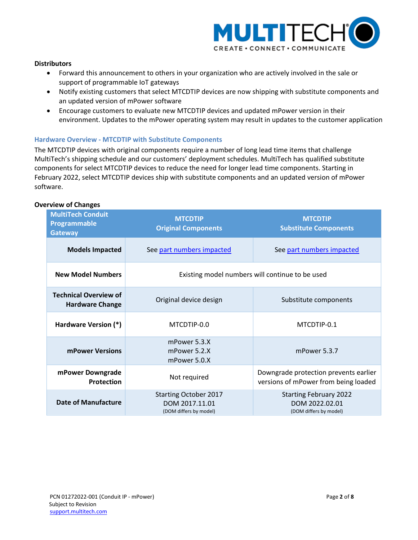

## **Distributors**

- Forward this announcement to others in your organization who are actively involved in the sale or support of programmable IoT gateways
- Notify existing customers that select MTCDTIP devices are now shipping with substitute components and an updated version of mPower software
- Encourage customers to evaluate new MTCDTIP devices and updated mPower version in their environment. Updates to the mPower operating system may result in updates to the customer application

#### <span id="page-1-0"></span>**Hardware Overview - MTCDTIP with Substitute Components**

The MTCDTIP devices with original components require a number of long lead time items that challenge MultiTech's shipping schedule and our customers' deployment schedules. MultiTech has qualified substitute components for select MTCDTIP devices to reduce the need for longer lead time components. Starting in February 2022, select MTCDTIP devices ship with substitute components and an updated version of mPower software.

#### **Overview of Changes**

| <b>MultiTech Conduit</b><br>Programmable<br><b>Gateway</b> | <b>MTCDTIP</b><br><b>Original Components</b>                             | <b>MTCDTIP</b><br><b>Substitute Components</b>                                |  |  |  |  |
|------------------------------------------------------------|--------------------------------------------------------------------------|-------------------------------------------------------------------------------|--|--|--|--|
| <b>Models Impacted</b>                                     | See part numbers impacted                                                | See part numbers impacted                                                     |  |  |  |  |
| <b>New Model Numbers</b>                                   |                                                                          | Existing model numbers will continue to be used                               |  |  |  |  |
| <b>Technical Overview of</b><br><b>Hardware Change</b>     | Original device design                                                   | Substitute components                                                         |  |  |  |  |
| Hardware Version (*)                                       | MTCDTIP-0.0                                                              | MTCDTIP-0.1                                                                   |  |  |  |  |
| mPower Versions                                            | mPower 5.3.X<br>mPower 5.2.X<br>mPower 5.0.X                             | mPower 5.3.7                                                                  |  |  |  |  |
| mPower Downgrade<br><b>Protection</b>                      | Not required                                                             | Downgrade protection prevents earlier<br>versions of mPower from being loaded |  |  |  |  |
| <b>Date of Manufacture</b>                                 | <b>Starting October 2017</b><br>DOM 2017.11.01<br>(DOM differs by model) | <b>Starting February 2022</b><br>DOM 2022.02.01<br>(DOM differs by model)     |  |  |  |  |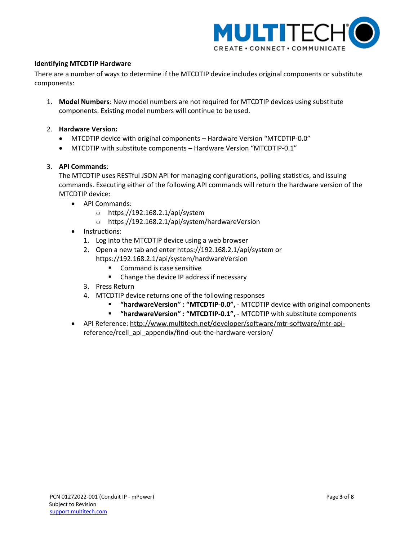

## **Identifying MTCDTIP Hardware**

There are a number of ways to determine if the MTCDTIP device includes original components or substitute components:

- 1. **Model Numbers**: New model numbers are not required for MTCDTIP devices using substitute components. Existing model numbers will continue to be used.
- 2. **Hardware Version:**
	- MTCDTIP device with original components Hardware Version "MTCDTIP-0.0"
	- MTCDTIP with substitute components Hardware Version "MTCDTIP-0.1"

## 3. **API Commands**:

The MTCDTIP uses RESTful JSON API for managing configurations, polling statistics, and issuing commands. Executing either of the following API commands will return the hardware version of the MTCDTIP device:

- API Commands:
	- o https://192.168.2.1/api/system
	- o https://192.168.2.1/api/system/hardwareVersion
- Instructions:
	- 1. Log into the MTCDTIP device using a web browser
	- 2. Open a new tab and enter https://192.168.2.1/api/system or https://192.168.2.1/api/system/hardwareVersion
		- **Command is case sensitive**
		- Change the device IP address if necessary
	- 3. Press Return
	- 4. MTCDTIP device returns one of the following responses
		- **"hardwareVersion" : "MTCDTIP-0.0",**  MTCDTIP device with original components
		- **"hardwareVersion" : "MTCDTIP-0.1",**  MTCDTIP with substitute components
- API Reference: [http://www.multitech.net/developer/software/mtr-software/mtr-api](http://www.multitech.net/developer/software/mtr-software/mtr-api-reference/rcell_api_appendix/find-out-the-hardware-version/)[reference/rcell\\_api\\_appendix/find-out-the-hardware-version/](http://www.multitech.net/developer/software/mtr-software/mtr-api-reference/rcell_api_appendix/find-out-the-hardware-version/)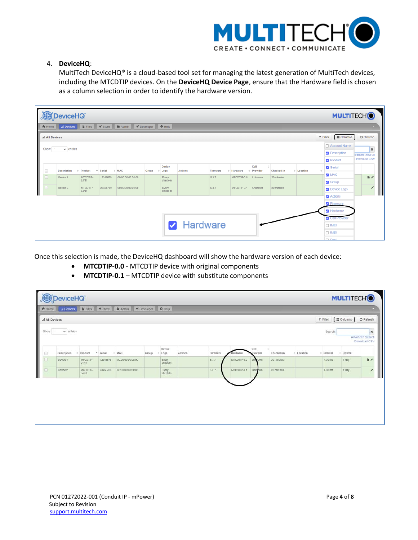

## 4. **DeviceHQ**:

MultiTech DeviceHQ® is a cloud-based tool set for managing the latest generation of MultiTech devices, including the MTCDTIP devices. On the **DeviceHQ Device Page**, ensure that the Hardware field is chosen as a column selection in order to identify the hardware version.

|                      | DeviceHQ<br><b>MULTITECHO</b>                                                                                                        |                  |          |                   |       |                       |                |          |             |                  |            |            |                                       |      |
|----------------------|--------------------------------------------------------------------------------------------------------------------------------------|------------------|----------|-------------------|-------|-----------------------|----------------|----------|-------------|------------------|------------|------------|---------------------------------------|------|
|                      | <b>E</b> Files <b>T</b> Store <b>E</b> Admin<br>$\blacksquare$ Developer<br>$\Theta$ Help<br>al Devices<br><b>音 Home</b>             |                  |          |                   |       |                       |                |          |             |                  |            |            |                                       |      |
|                      | $\overline{\mathbf{y}}$ Filter<br>$\mathbb C$ Refresh<br>al All Devices<br><b>II</b> Columns                                         |                  |          |                   |       |                       |                |          |             |                  |            |            |                                       |      |
|                      | □ Account Name<br>$\vee$ entries<br>Show<br>$\pmb{\times}$<br><b>Description</b><br><b>Ivanced Search</b><br>Download CSV<br>Product |                  |          |                   |       |                       |                |          |             |                  |            |            |                                       |      |
| $\qquad \qquad \Box$ | <b>Description</b>                                                                                                                   | Product<br>۰     | Serial   | <b>MAC</b>        | Group | Device<br>$\div$ Logs | <b>Actions</b> | Firmware | Hardware    | Cell<br>Provider | Checked-in | # Location | Serial<br>$\frac{1}{2}$               |      |
|                      | Device 1                                                                                                                             | MTCDTIP-<br>L4N1 | 12345678 | 00:00:00:00:00:00 |       | Every<br>check-In     |                | 5.3.7    | MTCDTIP-0.0 | Unknown          | 20 minutes |            | MAC <sub>12</sub><br><b>S</b> Group   | li z |
|                      | Device 2                                                                                                                             | MTCDTIP-<br>L4N1 | 23456789 | 00:00:00:00:00:00 |       | Every<br>check-In     |                | 5.3.7    | MTCDTIP-0.1 | <b>Unknown</b>   | 20 minutes |            | Device Logs                           |      |
|                      |                                                                                                                                      |                  |          |                   |       |                       |                |          |             |                  |            |            | <b>Z</b> Actions<br><b>Z</b> Firmware |      |
|                      |                                                                                                                                      |                  |          |                   |       |                       |                |          |             |                  |            |            | Hardware                              |      |
|                      |                                                                                                                                      |                  |          |                   |       |                       |                |          |             |                  |            |            | <b>Z</b> Cell Provider                |      |
|                      | <b>A</b> Hardware<br>$\Box$ IMEI                                                                                                     |                  |          |                   |       |                       |                |          |             |                  |            |            |                                       |      |
|                      | $\Box$ IMSI<br>$\Box$ Reel                                                                                                           |                  |          |                   |       |                       |                |          |             |                  |            |            |                                       |      |

Once this selection is made, the DeviceHQ dashboard will show the hardware version of each device:

- **MTCDTIP-0.0** MTCDTIP device with original components
- **MTCDTIP-0.1** MTCDTIP device with substitute components

| DeviceHQ<br><b>MULTITECHO</b> |                |                  |          |                                         |                   |                   |         |          |             |                  |                       |            |              |                   |                                      |
|-------------------------------|----------------|------------------|----------|-----------------------------------------|-------------------|-------------------|---------|----------|-------------|------------------|-----------------------|------------|--------------|-------------------|--------------------------------------|
| <b>音 Home</b>                 | al Devices     |                  |          | Files Store BEAdmin ST Developer O Help |                   |                   |         |          |             |                  |                       |            |              |                   |                                      |
| al All Devices                |                |                  |          |                                         |                   |                   |         |          |             |                  |                       |            | $F$ Filter   | <b>II</b> Columns | $C$ Refresh                          |
| Show.                         | $\vee$ entries |                  |          |                                         |                   |                   |         |          |             |                  |                       |            | Search:      |                   | ×<br>Advanced Search<br>Download CSV |
| o                             | Description    | Product          | - Serial | MAC                                     | Group<br>$E$ Logs | Device            | Actions | Firmware | Hardware    | Cell<br>Provider | $\circ$<br>Checked-in | : Location | $=$ Interval | c Uptime          |                                      |
| ö                             | Device 1       | MTCDTIP-<br>L4NT | 12345678 | 00:00:00:00:00:00                       |                   | Every<br>check-in |         | 5.3.7    | MTCDTIP-0.0 | Univoown         | 20 minutes            |            | 4.00 hrs     | 1 day             | k/                                   |
|                               | Device 2       | MTCDTIP-<br>L4NT | 23456789 | 00:00:00:00:00:00                       |                   | Every<br>check-in |         | 5.3.7    | MTCDTIP-0.1 | <b>Unknown</b>   | 20 minutes            |            | 4.00 hrs     | 1 day             |                                      |
|                               |                |                  |          |                                         |                   |                   |         |          |             |                  |                       |            |              |                   |                                      |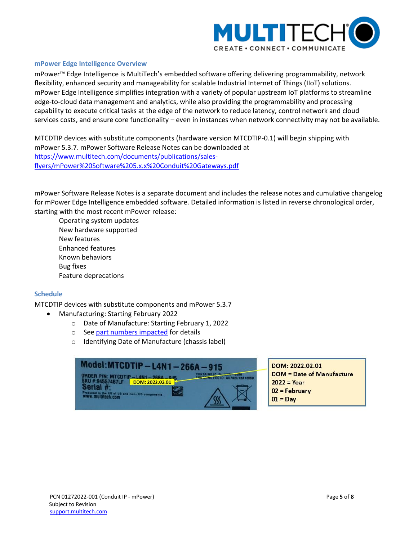

#### <span id="page-4-1"></span>**mPower Edge Intelligence Overview**

mPower™ Edge Intelligence is MultiTech's embedded software offering delivering programmability, network flexibility, enhanced security and manageability for scalable Industrial Internet of Things (IIoT) solutions. mPower Edge Intelligence simplifies integration with a variety of popular upstream IoT platforms to streamline edge-to-cloud data management and analytics, while also providing the programmability and processing capability to execute critical tasks at the edge of the network to reduce latency, control network and cloud services costs, and ensure core functionality – even in instances when network connectivity may not be available.

MTCDTIP devices with substitute components (hardware version MTCDTIP-0.1) will begin shipping with mPower 5.3.7. mPower Software Release Notes can be downloaded at [https://www.multitech.com/documents/publications/sales](https://www.multitech.com/documents/publications/sales-flyers/mPower%20Software%205.x.x%20Conduit%20Gateways.pdf)[flyers/mPower%20Software%205.x.x%20Conduit%20Gateways.pdf](https://www.multitech.com/documents/publications/sales-flyers/mPower%20Software%205.x.x%20Conduit%20Gateways.pdf) 

mPower Software Release Notes is a separate document and includes the release notes and cumulative changelog for mPower Edge Intelligence embedded software. Detailed information is listed in reverse chronological order, starting with the most recent mPower release:

Operating system updates New hardware supported New features Enhanced features Known behaviors Bug fixes Feature deprecations

## <span id="page-4-0"></span>**Schedule**

MTCDTIP devices with substitute components and mPower 5.3.7

- Manufacturing: Starting February 2022
	- o Date of Manufacture: Starting February 1, 2022
	- o See part numbers impacted for details
	- o Identifying Date of Manufacture (chassis label)

<span id="page-4-2"></span>

DOM: 2022.02.01 **DOM = Date of Manufacture**  $2022 = Year$ 02 = February  $01 = Day$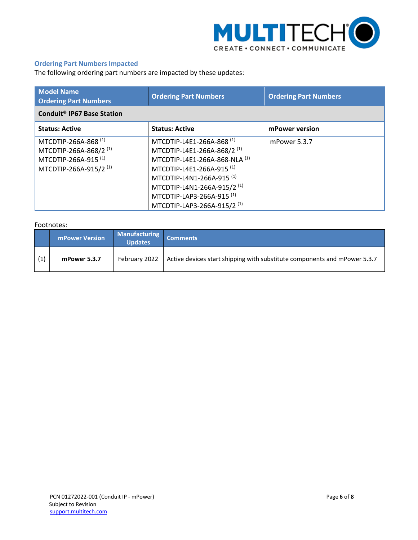

## **Ordering Part Numbers Impacted**

The following ordering part numbers are impacted by these updates:

| <b>Model Name</b><br><b>Ordering Part Numbers</b>                                                                                 | <b>Ordering Part Numbers</b>                                                                                                                                                                                                                                                                                                | <b>Ordering Part Numbers</b> |  |  |  |  |  |  |
|-----------------------------------------------------------------------------------------------------------------------------------|-----------------------------------------------------------------------------------------------------------------------------------------------------------------------------------------------------------------------------------------------------------------------------------------------------------------------------|------------------------------|--|--|--|--|--|--|
| Conduit <sup>®</sup> IP67 Base Station                                                                                            |                                                                                                                                                                                                                                                                                                                             |                              |  |  |  |  |  |  |
| <b>Status: Active</b>                                                                                                             | <b>Status: Active</b>                                                                                                                                                                                                                                                                                                       | mPower version               |  |  |  |  |  |  |
| MTCDTIP-266A-868 (1)<br>MTCDTIP-266A-868/2 <sup>(1)</sup><br>MTCDTIP-266A-915 <sup>(1)</sup><br>MTCDTIP-266A-915/2 <sup>(1)</sup> | MTCDTIP-L4E1-266A-868 <sup>(1)</sup><br>MTCDTIP-L4E1-266A-868/2 <sup>(1)</sup><br>MTCDTIP-L4E1-266A-868-NLA (1)<br>MTCDTIP-L4E1-266A-915 <sup>(1)</sup><br>MTCDTIP-L4N1-266A-915 <sup>(1)</sup><br>MTCDTIP-L4N1-266A-915/2 <sup>(1)</sup><br>MTCDTIP-LAP3-266A-915 <sup>(1)</sup><br>MTCDTIP-LAP3-266A-915/2 <sup>(1)</sup> | mPower 5.3.7                 |  |  |  |  |  |  |

## Footnotes:

|     | <b>mPower Version</b> | <b>Manufacturing</b><br><b>Updates</b> | <b>Comments</b>                                                           |
|-----|-----------------------|----------------------------------------|---------------------------------------------------------------------------|
| (1) | mPower 5.3.7          | February 2022                          | Active devices start shipping with substitute components and mPower 5.3.7 |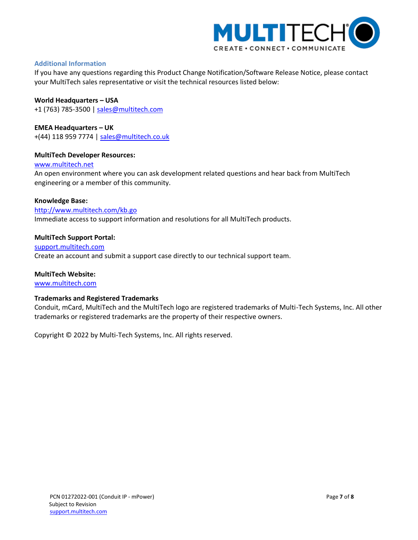

## <span id="page-6-0"></span>**Additional Information**

If you have any questions regarding this Product Change Notification/Software Release Notice, please contact your MultiTech sales representative or visit the technical resources listed below:

**World Headquarters – USA** +1 (763) 785-3500 | [sales@multitech.com](mailto:sales@multitech.com)

**EMEA Headquarters – UK** +(44) 118 959 7774 | [sales@multitech.co.uk](mailto:sales@multitech.co.uk)

## **MultiTech Developer Resources:**

[www.multitech.net](http://www.multitech.net/)

An open environment where you can ask development related questions and hear back from MultiTech engineering or a member of this community.

#### **Knowledge Base:**

<http://www.multitech.com/kb.go> Immediate access to support information and resolutions for all MultiTech products.

#### **MultiTech Support Portal:**

[support.multitech.com](https://support.multitech.com/) Create an account and submit a support case directly to our technical support team.

## **MultiTech Website:**

[www.multitech.com](http://www.multitech.com/)

## **Trademarks and Registered Trademarks**

Conduit, mCard, MultiTech and the MultiTech logo are registered trademarks of Multi-Tech Systems, Inc. All other trademarks or registered trademarks are the property of their respective owners.

Copyright © 2022 by Multi-Tech Systems, Inc. All rights reserved.